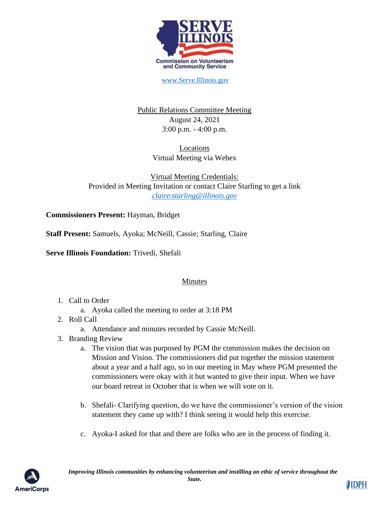

[www.Serve.Illinois.gov](http://www.serve.illinois.gov/)

Public Relations Committee Meeting August 24, 2021 3:00 p.m. - 4:00 p.m.

> Locations Virtual Meeting via Webex

Virtual Meeting Credentials: Provided in Meeting Invitation or contact Claire Starling to get a link *[claire.starling@illinois.gov](mailto:claire.starling@illinois.gov)*

**Commissioners Present:** Hayman, Bridget

**Staff Present:** Samuels, Ayoka; McNeill, Cassie; Starling, Claire

**Serve Illinois Foundation:** Trivedi, Shefali

## Minutes

- 1. Call to Order
	- a. Ayoka called the meeting to order at 3:18 PM
- 2. Roll Call
	- a. Attendance and minutes recorded by Cassie McNeill.
- 3. Branding Review
	- a. The vision that was purposed by PGM the commission makes the decision on Mission and Vision. The commissioners did put together the mission statement about a year and a half ago, so in our meeting in May where PGM presented the commissioners were okay with it but wanted to give their input. When we have our board retreat in October that is when we will vote on it.
	- b. Shefali- Clarifying question, do we have the commissioner's version of the vision statement they came up with? I think seeing it would help this exercise.
	- c. Ayoka-I asked for that and there are folks who are in the process of finding it.



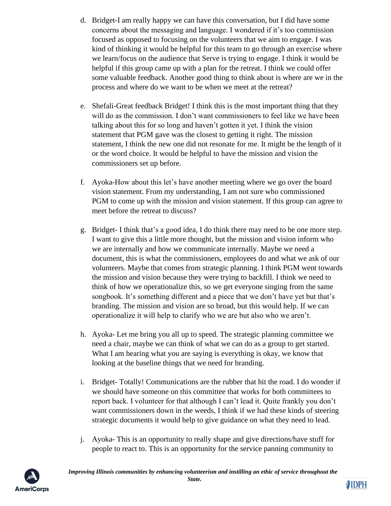- d. Bridget-I am really happy we can have this conversation, but I did have some concerns about the messaging and language. I wondered if it's too commission focused as opposed to focusing on the volunteers that we aim to engage. I was kind of thinking it would be helpful for this team to go through an exercise where we learn/focus on the audience that Serve is trying to engage. I think it would be helpful if this group came up with a plan for the retreat. I think we could offer some valuable feedback. Another good thing to think about is where are we in the process and where do we want to be when we meet at the retreat?
- e. Shefali-Great feedback Bridget! I think this is the most important thing that they will do as the commission. I don't want commissioners to feel like we have been talking about this for so long and haven't gotten it yet. I think the vision statement that PGM gave was the closest to getting it right. The mission statement, I think the new one did not resonate for me. It might be the length of it or the word choice. It would be helpful to have the mission and vision the commissioners set up before.
- f. Ayoka-How about this let's have another meeting where we go over the board vision statement. From my understanding, I am not sure who commissioned PGM to come up with the mission and vision statement. If this group can agree to meet before the retreat to discuss?
- g. Bridget- I think that's a good idea, I do think there may need to be one more step. I want to give this a little more thought, but the mission and vision inform who we are internally and how we communicate internally. Maybe we need a document, this is what the commissioners, employees do and what we ask of our volunteers. Maybe that comes from strategic planning. I think PGM went towards the mission and vision because they were trying to backfill. I think we need to think of how we operationalize this, so we get everyone singing from the same songbook. It's something different and a piece that we don't have yet but that's branding. The mission and vision are so broad, but this would help. If we can operationalize it will help to clarify who we are but also who we aren't.
- h. Ayoka- Let me bring you all up to speed. The strategic planning committee we need a chair, maybe we can think of what we can do as a group to get started. What I am hearing what you are saying is everything is okay, we know that looking at the baseline things that we need for branding.
- i. Bridget- Totally! Communications are the rubber that hit the road. I do wonder if we should have someone on this committee that works for both committees to report back. I volunteer for that although I can't lead it. Quite frankly you don't want commissioners down in the weeds, I think if we had these kinds of steering strategic documents it would help to give guidance on what they need to lead.
- j. Ayoka- This is an opportunity to really shape and give directions/have stuff for people to react to. This is an opportunity for the service panning community to